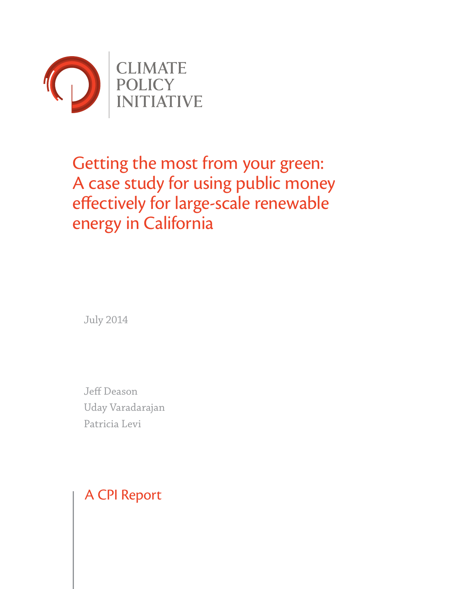

# Getting the most from your green: A case study for using public money effectively for large-scale renewable energy in California

July 2014

Jeff Deason Uday Varadarajan Patricia Levi

A CPI Report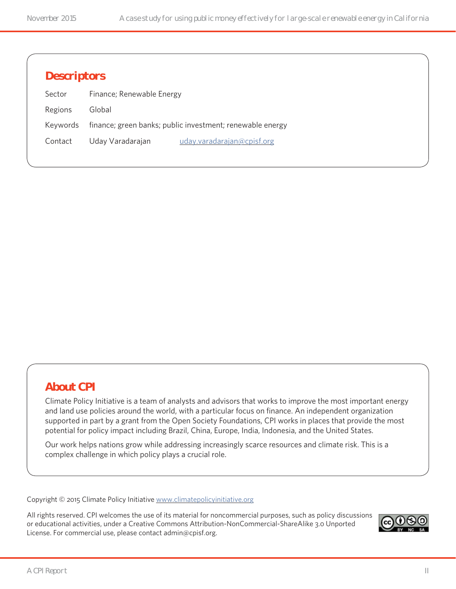## **Descriptors**

| Sector  | Finance; Renewable Energy |                                                                    |
|---------|---------------------------|--------------------------------------------------------------------|
| Regions | Global                    |                                                                    |
|         |                           | Keywords finance; green banks; public investment; renewable energy |
| Contact | Uday Varadarajan          | uday.varadarajan@cpisf.org                                         |

## **About CPI**

Climate Policy Initiative is a team of analysts and advisors that works to improve the most important energy and land use policies around the world, with a particular focus on finance. An independent organization supported in part by a grant from the Open Society Foundations, CPI works in places that provide the most potential for policy impact including Brazil, China, Europe, India, Indonesia, and the United States.

Our work helps nations grow while addressing increasingly scarce resources and climate risk. This is a complex challenge in which policy plays a crucial role.

Copyright © 2015 Climate Policy Initiative [www.climatepolicyinitiative.org](http://www.climatepolicyinitiative.org )

All rights reserved. CPI welcomes the use of its material for noncommercial purposes, such as policy discussions or educational activities, under a Creative Commons Attribution-NonCommercial-ShareAlike 3.0 Unported License. For commercial use, please contact admin@cpisf.org.

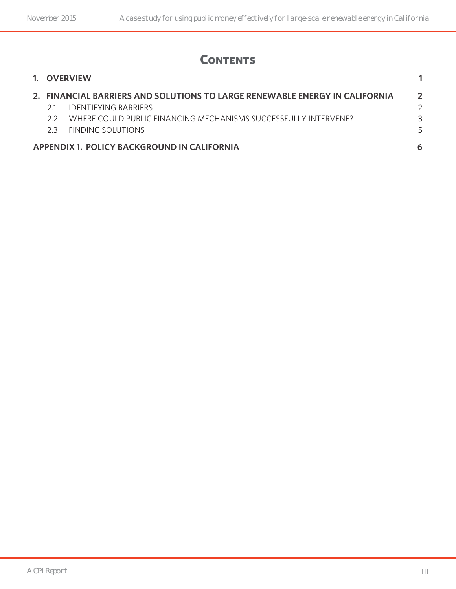# **Contents**

|    | 1. OVERVIEW                                                                 |              |
|----|-----------------------------------------------------------------------------|--------------|
|    | 2. FINANCIAL BARRIERS AND SOLUTIONS TO LARGE RENEWABLE ENERGY IN CALIFORNIA | $\mathbf{P}$ |
|    | <b>IDENTIFYING BARRIERS</b>                                                 |              |
| 22 | WHERE COULD PUBLIC FINANCING MECHANISMS SUCCESSEULLY INTERVENE?             | 3            |
| フ3 | <b>FINDING SOLUTIONS</b>                                                    | 5            |
|    | APPENDIX 1. POLICY BACKGROUND IN CALIFORNIA                                 | 6            |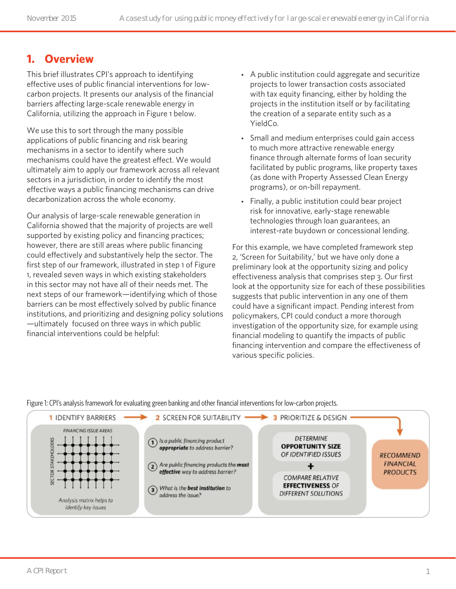## **1. Overview**

This brief illustrates CPI's approach to identifying effective uses of public financial interventions for lowcarbon projects. It presents our analysis of the financial barriers affecting large-scale renewable energy in California, utilizing the approach in Figure 1 below.

We use this to sort through the many possible applications of public financing and risk bearing mechanisms in a sector to identify where such mechanisms could have the greatest effect. We would ultimately aim to apply our framework across all relevant sectors in a jurisdiction, in order to identify the most effective ways a public financing mechanisms can drive decarbonization across the whole economy.

Our analysis of large-scale renewable generation in California showed that the majority of projects are well supported by existing policy and financing practices; however, there are still areas where public financing could effectively and substantively help the sector. The first step of our framework, illustrated in step 1 of Figure 1, revealed seven ways in which existing stakeholders in this sector may not have all of their needs met. The next steps of our framework—identifying which of those barriers can be most effectively solved by public finance institutions, and prioritizing and designing policy solutions —ultimately focused on three ways in which public financial interventions could be helpful:

- A public institution could aggregate and securitize projects to lower transaction costs associated with tax equity financing, either by holding the projects in the institution itself or by facilitating the creation of a separate entity such as a YieldCo.
- Small and medium enterprises could gain access to much more attractive renewable energy finance through alternate forms of loan security facilitated by public programs, like property taxes (as done with Property Assessed Clean Energy programs), or on-bill repayment.
- Finally, a public institution could bear project risk for innovative, early-stage renewable technologies through loan guarantees, an interest-rate buydown or concessional lending.

For this example, we have completed framework step 2, 'Screen for Suitability,' but we have only done a preliminary look at the opportunity sizing and policy effectiveness analysis that comprises step 3. Our first look at the opportunity size for each of these possibilities suggests that public intervention in any one of them could have a significant impact. Pending interest from policymakers, CPI could conduct a more thorough investigation of the opportunity size, for example using financial modeling to quantify the impacts of public financing intervention and compare the effectiveness of various specific policies.

Figure 1: CPI's analysis framework for evaluating green banking and other financial interventions for low-carbon projects.

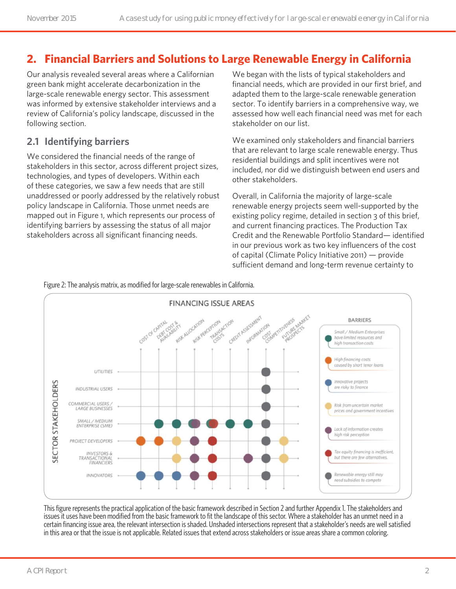## **2. Financial Barriers and Solutions to Large Renewable Energy in California**

Our analysis revealed several areas where a Californian green bank might accelerate decarbonization in the large-scale renewable energy sector. This assessment was informed by extensive stakeholder interviews and a review of California's policy landscape, discussed in the following section.

#### **2.1 Identifying barriers**

We considered the financial needs of the range of stakeholders in this sector, across different project sizes, technologies, and types of developers. Within each of these categories, we saw a few needs that are still unaddressed or poorly addressed by the relatively robust policy landscape in California. Those unmet needs are mapped out in Figure 1, which represents our process of identifying barriers by assessing the status of all major stakeholders across all significant financing needs.

We began with the lists of typical stakeholders and financial needs, which are provided in our first brief, and adapted them to the large-scale renewable generation sector. To identify barriers in a comprehensive way, we assessed how well each financial need was met for each stakeholder on our list.

We examined only stakeholders and financial barriers that are relevant to large scale renewable energy. Thus residential buildings and split incentives were not included, nor did we distinguish between end users and other stakeholders.

Overall, in California the majority of large-scale renewable energy projects seem well-supported by the existing policy regime, detailed in section 3 of this brief, and current financing practices. The Production Tax Credit and the Renewable Portfolio Standard— identified in our previous work as two key influencers of the cost of capital (Climate Policy Initiative 2011) — provide sufficient demand and long-term revenue certainty to





This figure represents the practical application of the basic framework described in Section 2 and further Appendix 1. The stakeholders and issues it uses have been modified from the basic framework to fit the landscape of this sector. Where a stakeholder has an unmet need in a certain financing issue area, the relevant intersection is shaded. Unshaded intersections represent that a stakeholder's needs are well satisfied in this area or that the issue is not applicable. Related issues that extend across stakeholders or issue areas share a common coloring.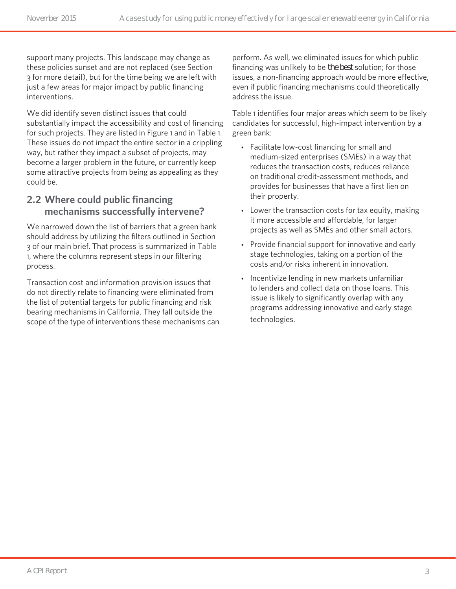support many projects. This landscape may change as these policies sunset and are not replaced (see Section 3 for more detail), but for the time being we are left with just a few areas for major impact by public financing interventions.

We did identify seven distinct issues that could substantially impact the accessibility and cost of financing for such projects. They are listed in Figure 1 and in Table 1. These issues do not impact the entire sector in a crippling way, but rather they impact a subset of projects, may become a larger problem in the future, or currently keep some attractive projects from being as appealing as they could be.

#### **2.2 Where could public financing mechanisms successfully intervene?**

We narrowed down the list of barriers that a green bank should address by utilizing the filters outlined in Section 3 of our main brief. That process is summarized in Table 1, where the columns represent steps in our filtering process.

Transaction cost and information provision issues that do not directly relate to financing were eliminated from the list of potential targets for public financing and risk bearing mechanisms in California. They fall outside the scope of the type of interventions these mechanisms can perform. As well, we eliminated issues for which public financing was unlikely to be *the best* solution; for those issues, a non-financing approach would be more effective, even if public financing mechanisms could theoretically address the issue.

Table 1 identifies four major areas which seem to be likely candidates for successful, high-impact intervention by a green bank:

- Facilitate low-cost financing for small and medium-sized enterprises (SMEs) in a way that reduces the transaction costs, reduces reliance on traditional credit-assessment methods, and provides for businesses that have a first lien on their property.
- Lower the transaction costs for tax equity, making it more accessible and affordable, for larger projects as well as SMEs and other small actors.
- Provide financial support for innovative and early stage technologies, taking on a portion of the costs and/or risks inherent in innovation.
- Incentivize lending in new markets unfamiliar to lenders and collect data on those loans. This issue is likely to significantly overlap with any programs addressing innovative and early stage technologies.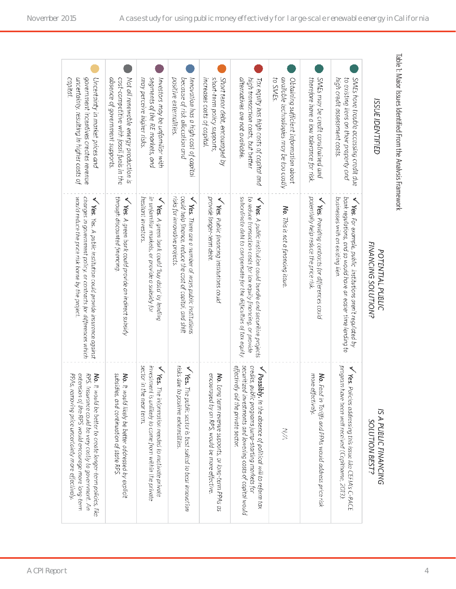| Table 1: Maior Issues Identified From the Analysis Framework                                                                      |                                                                                                                                                                                                                               |                                                                                                                                                                                                                                      |
|-----------------------------------------------------------------------------------------------------------------------------------|-------------------------------------------------------------------------------------------------------------------------------------------------------------------------------------------------------------------------------|--------------------------------------------------------------------------------------------------------------------------------------------------------------------------------------------------------------------------------------|
| <b>ISSUE IDENTIFIED</b>                                                                                                           | FINANCING SOLUTION?<br>POTENTIAL PUBLIC                                                                                                                                                                                       | IS A PUBLIC FINANCING<br>SOLUTION BEST?                                                                                                                                                                                              |
| high credit assessment costs<br>to existing liens on their property and<br>SMEs have trouble accessing credit due                 | bank regulations, and so would have an easier time lending to<br>businesses with an existing lien.<br>$\sqrt{res.}$ For example, public institutions aren't regulated by                                                      | program have been well received (Copithorne, 2013)<br>$\sqrt{\gamma_{\rm{ES.}}}$<br>Policies addressing this issue like CEFIA's C-PACE                                                                                               |
| therefore have a low tolerance for risk.<br>SMEs may be credit constrained and                                                    | potentially help reduce the price risk.<br>≺<br>Yes. Providing contracts for differences could                                                                                                                                | more effectively.<br>No. Feed in Tariffs and PPAs would address price risk                                                                                                                                                           |
| available technologies may be too costly<br>to SMEs.<br>Obtaining sufficient information about                                    | No. This is not a financing issue.                                                                                                                                                                                            | $\lesssim$                                                                                                                                                                                                                           |
| alternatives are not available<br>high transaction costs, but better<br>Tax equity has high costs of capital and                  | subordinate debt to compensate for the difficulties of tax equity.<br>to reduce transaction costs for tax equity financing, or provide<br>$\sqrt{\gamma_{\rm{ES.}}$ A public institution could bundle and securitize projects | effectively aid the private sector.<br>securitized investments and lowering costs of capital would<br>credits, public programs jump-starting markets for<br>V Possibly. In the absence of political will to reform tax               |
| Short tenor debt, encouraged by<br>short-term policy supports,<br>increases costs of capital                                      | provide longer-term debt.<br>V Yes. Public financing institutions could                                                                                                                                                       | encouraged by an RPS, would be more effective<br>No. Long term revenue supports, or long-term PPAs as                                                                                                                                |
| positive externalities.<br>because of risk allocation and<br>Innovation has a high cost of capital                                | could help finance, reduce the cost of capital, and shift<br>risks for innovative projects.<br>V Yes. There are a number of ways public institutions                                                                          | risks due to positive externalities<br>$\sqrt{\text{ks}}$ .<br>The public sector is best suited to bear innovation                                                                                                                   |
| segments of the RE markets, and<br>Investors may be unfamiliar with<br>may perceive higher risks.                                 | in unfamiliar markets, or provide a subsidy for<br>hesitant investors.<br>V Yes. A green bank could 'buy data' by lending                                                                                                     | sector in<br>investment is unlikely to come from within the private<br>$\sqrt{\text{ke.s.}}$<br>The information needed to motivate private<br>the near term.                                                                         |
| cost-competitive with fossil fuels in the<br>Not all renewable energy production is<br>absence of government supports             | through discounted financing.<br>V Yes. A green bank could provide an indirect subsidy                                                                                                                                        | subsidies, and continuation of state RPS.<br>No. It would likely be better addressed by explicit                                                                                                                                     |
| government incentives creates revenue<br>capital<br>uncertainty, resulting in higher costs of<br>Uncertainty in market prices and | changes in government policy, or contracts for differences which<br>would reduce the price risk borne by the project<br>$\sqrt{\text{Yes.}}$ Yes. A public institution could provide insurance against                        | extension of the RPS would encourage more long-term<br>RPS.<br>No. It would be better to create longer-term policies, like<br>PPAs, removing price uncertainty more effectively.<br>Insurance could be very costly to government. An |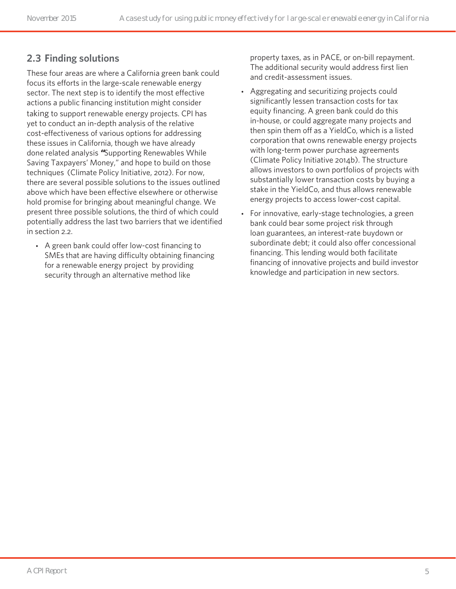#### **2.3 Finding solutions**

These four areas are where a California green bank could focus its efforts in the large-scale renewable energy sector. The next step is to identify the most effective actions a public financing institution might consider taking to support renewable energy projects. CPI has yet to conduct an in-depth analysis of the relative cost-effectiveness of various options for addressing these issues in California, though we have already done related analysis *"*Supporting Renewables While Saving Taxpayers' Money," and hope to build on those techniques (Climate Policy Initiative, 2012). For now, there are several possible solutions to the issues outlined above which have been effective elsewhere or otherwise hold promise for bringing about meaningful change. We present three possible solutions, the third of which could potentially address the last two barriers that we identified in section 2.2.

• A green bank could offer low-cost financing to SMEs that are having difficulty obtaining financing for a renewable energy project by providing security through an alternative method like

property taxes, as in PACE, or on-bill repayment. The additional security would address first lien and credit-assessment issues.

- Aggregating and securitizing projects could significantly lessen transaction costs for tax equity financing. A green bank could do this in-house, or could aggregate many projects and then spin them off as a YieldCo, which is a listed corporation that owns renewable energy projects with long-term power purchase agreements (Climate Policy Initiative 2014b). The structure allows investors to own portfolios of projects with substantially lower transaction costs by buying a stake in the YieldCo, and thus allows renewable energy projects to access lower-cost capital.
- For innovative, early-stage technologies, a green bank could bear some project risk through loan guarantees, an interest-rate buydown or subordinate debt; it could also offer concessional financing. This lending would both facilitate financing of innovative projects and build investor knowledge and participation in new sectors.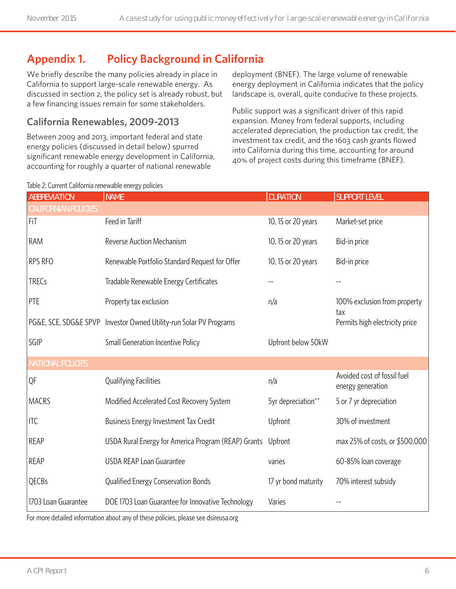## **Appendix 1. Policy Background in California**

We briefly describe the many policies already in place in California to support large-scale renewable energy. As discussed in section 2, the policy set is already robust, but a few financing issues remain for some stakeholders.

## **California Renewables, 2009-2013**

Between 2009 and 2013, important federal and state energy policies (discussed in detail below) spurred significant renewable energy development in California, accounting for roughly a quarter of national renewable

deployment (BNEF). The large volume of renewable energy deployment in California indicates that the policy landscape is, overall, quite conducive to these projects.

Public support was a significant driver of this rapid expansion. Money from federal supports, including accelerated depreciation, the production tax credit, the investment tax credit, and the 1603 cash grants flowed into California during this time, accounting for around 40% of project costs during this timeframe (BNEF).

| <b>ABBREVIATION</b>         | <b>NAME</b>                                                        | <b>DURATION</b>     | <b>SUPPORT LEVEL</b>                             |
|-----------------------------|--------------------------------------------------------------------|---------------------|--------------------------------------------------|
| <b>CALIFORNIAN POLICIES</b> |                                                                    |                     |                                                  |
| FiT                         | Feed in Tariff                                                     | 10, 15 or 20 years  | Market-set price                                 |
| RAM                         | <b>Reverse Auction Mechanism</b>                                   | 10, 15 or 20 years  | Bid-in price                                     |
| <b>RPS RFO</b>              | Renewable Portfolio Standard Request for Offer                     | 10, 15 or 20 years  | Bid-in price                                     |
| <b>TRECs</b>                | Tradable Renewable Energy Certificates                             |                     |                                                  |
| PTE                         | Property tax exclusion                                             | n/a                 | 100% exclusion from property                     |
|                             | PG&E, SCE, SDG&E SPVP Investor Owned Utility-run Solar PV Programs |                     | tax<br>Permits high electricity price            |
| SGIP                        | <b>Small Generation Incentive Policy</b>                           | Upfront below 50kW  |                                                  |
| <b>NATIONAL POLICIES</b>    |                                                                    |                     |                                                  |
| QF                          | <b>Qualifying Facilities</b>                                       | n/a                 | Avoided cost of fossil fuel<br>energy generation |
| <b>MACRS</b>                | Modified Accelerated Cost Recovery System                          | 5yr depreciation**  | 5 or 7 yr depreciation                           |
| <b>ITC</b>                  | Business Energy Investment Tax Credit                              | Upfront             | 30% of investment                                |
| <b>REAP</b>                 | USDA Rural Energy for America Program (REAP) Grants                | Upfront             | max 25% of costs, or \$500,000                   |
| <b>REAP</b>                 | <b>USDA REAP Loan Guarantee</b>                                    | varies              | 60-85% loan coverage                             |
| QECBs                       | Qualified Energy Conservation Bonds                                | 17 yr bond maturity | 70% interest subsidy                             |
| 1703 Loan Guarantee         | DOE 1703 Loan Guarantee for Innovative Technology                  | Varies              |                                                  |

Table 2: Current California renewable energy policies

For more detailed information about any of these policies, please see dsireusa.org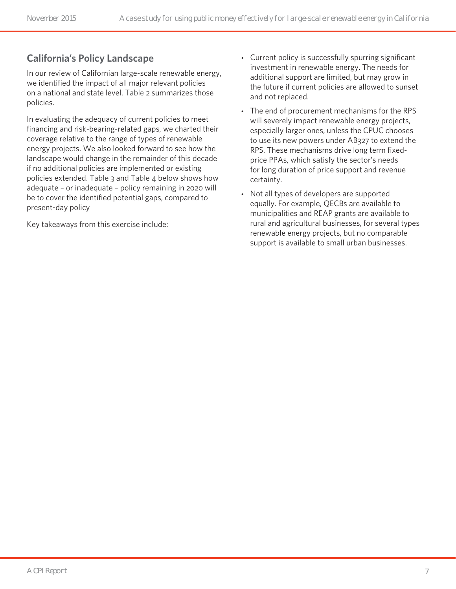#### **California's Policy Landscape**

In our review of Californian large-scale renewable energy, we identified the impact of all major relevant policies on a national and state level. Table 2 summarizes those policies.

In evaluating the adequacy of current policies to meet financing and risk-bearing-related gaps, we charted their coverage relative to the range of types of renewable energy projects. We also looked forward to see how the landscape would change in the remainder of this decade if no additional policies are implemented or existing policies extended. Table 3 and Table 4 below shows how adequate – or inadequate – policy remaining in 2020 will be to cover the identified potential gaps, compared to present-day policy

Key takeaways from this exercise include:

- Current policy is successfully spurring significant investment in renewable energy. The needs for additional support are limited, but may grow in the future if current policies are allowed to sunset and not replaced.
- The end of procurement mechanisms for the RPS will severely impact renewable energy projects, especially larger ones, unless the CPUC chooses to use its new powers under AB327 to extend the RPS. These mechanisms drive long term fixedprice PPAs, which satisfy the sector's needs for long duration of price support and revenue certainty.
- Not all types of developers are supported equally. For example, QECBs are available to municipalities and REAP grants are available to rural and agricultural businesses, for several types renewable energy projects, but no comparable support is available to small urban businesses.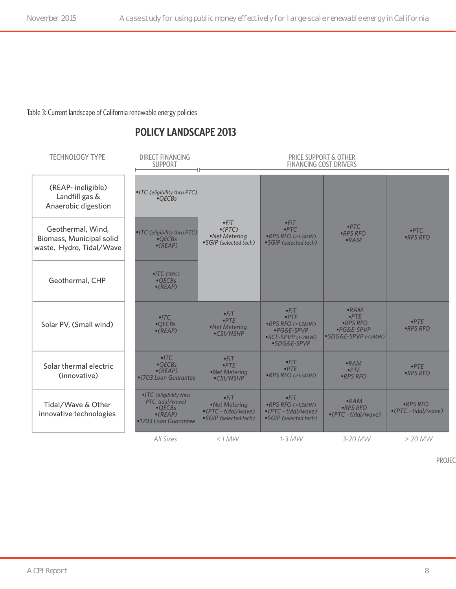Table 3: Current landscape of California renewable energy policies

#### **POLICY LANDSCAPE 2013**

| <b>TECHNOLOGY TYPE</b>                                                    | <b>DIRECT FINANCING</b><br><b>SUPPORT</b>                                                        | <b>PRICE SUPPORT &amp; OTHER</b><br><b>FINANCING COST DRIVERS</b>        |                                                                                                |                                                                             |                                                 |  |
|---------------------------------------------------------------------------|--------------------------------------------------------------------------------------------------|--------------------------------------------------------------------------|------------------------------------------------------------------------------------------------|-----------------------------------------------------------------------------|-------------------------------------------------|--|
| (REAP-ineligible)<br>Landfill gas &<br>Anaerobic digestion                | • ITC (eligibility thru PTC)<br>$-OECBs$                                                         |                                                                          |                                                                                                |                                                                             |                                                 |  |
| Geothermal, Wind,<br>Biomass, Municipal solid<br>waste, Hydro, Tidal/Wave | . ITC (eligibility thru PTC)<br>$-OECBs$<br>$\bullet$ (REAP)                                     | $-FiT$<br>$\bullet$ (PTC)<br>•Net Metering<br>•SGIP (selected tech)      | $-FiT$<br>PTC<br>$\bullet$ RPS RFO (>1.5MW)<br>•SGIP (selected tech)                           | PTC<br>$\cdot$ RPS RFO<br>$-RAM$                                            | PTC<br>•RPS RFO                                 |  |
| Geothermal, CHP                                                           | $\P$ TC (10%)<br>$-OECBs$<br>$\bullet$ (REAP)                                                    |                                                                          |                                                                                                |                                                                             |                                                 |  |
| Solar PV, (Small wind)                                                    | $\bullet$ ITC.<br>•QECBs<br>$\bullet$ (REAP)                                                     | $-FiT$<br>PTE<br>•Net Metering<br>•CSI/NSHP                              | $-FiT$<br>PTE<br>$\bullet$ RPS RFO (>1.5MW)<br>·PG&E-SPVP<br>• SCE-SPVP (1-2MW)<br>•SDG&E-SPVP | $\bullet$ RAM<br>PTE<br>$\cdot$ RPS RFO<br>·PG&E-SPVP<br>•SDG&E-SPVP (<5MW) | PTF<br>•RPS RFO                                 |  |
| Solar thermal electric<br>(innovative)                                    | $-ITC$<br>$-OECBs$<br>$\bullet$ (REAP)<br>•1703 Loan Guarantee                                   | $-FiT$<br>PTE<br>•Net Metering<br>•CSI/NSHP                              | $-FiT$<br>PTF<br>•RPS RFO (>1.5MW)                                                             | $-RAM$<br>PTE<br>$\cdot$ RPS RFO                                            | PTF<br>·RPS RFO                                 |  |
| Tidal/Wave & Other<br>innovative technologies                             | •ITC (eligibility thru<br>PTC, tidal/wave)<br>•QECBs<br>$\bullet$ (REAP)<br>•1703 Loan Guarantee | $-FiT$<br>•Net Metering<br>•(PTC - tidal/wave)<br>• SGIP (selected tech) | $-FiT$<br>$\bullet$ RPS RFO (>1.5MW)<br>$\bullet$ (PTC - tidal/wave)<br>•SGIP (selected tech)  | $\cdot$ RAM<br>$RPS$ RFO<br>$\bullet$ (PTC - tidal/wave)                    | $\cdot$ RPS RFO<br>$\bullet$ (PTC - tidal/wave) |  |
|                                                                           | All Sizes                                                                                        | < 1 MW                                                                   | $1-3$ MW                                                                                       | 3-20 MW                                                                     | $>$ 20 MW                                       |  |

PROJEC